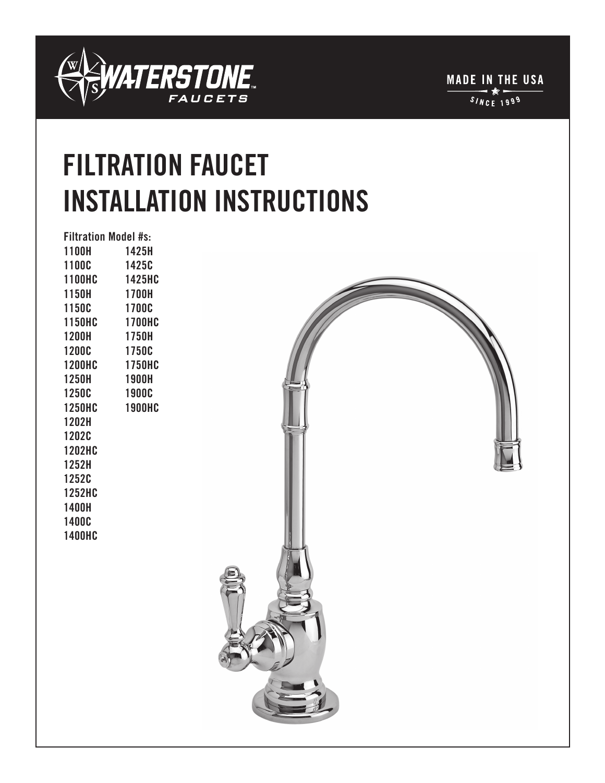

**MADE IN THE USA**  $\frac{1}{1000}$ 

# **FILTRATION FAUCET INSTALLATION INSTRUCTIONS**

|               | <b>Filtration Model #s:</b> |
|---------------|-----------------------------|
| 1100H         | 1425H                       |
| 1100C         | 1425C                       |
| <b>1100HC</b> | 1425HC                      |
| 1150H         | 1700H                       |
| 1150C         | 1700C                       |
| <b>1150HC</b> | <b>1700HC</b>               |
| <b>1200H</b>  | 1750H                       |
| <b>1200C</b>  | 1750C                       |
| <b>1200HC</b> | <b>1750HC</b>               |
| 1250H         | <b>1900H</b>                |
| 1250C         | <b>1900C</b>                |
| <b>1250HC</b> | <b>1900HC</b>               |
| 1202H         |                             |
| <b>1202C</b>  |                             |
| <b>1202HC</b> |                             |
| 1252H         |                             |
| 1252C         |                             |
| <b>1252HC</b> |                             |
| 1400H         |                             |
| 1400C         |                             |
| <b>1400HC</b> |                             |
|               |                             |
|               |                             |
|               |                             |
|               |                             |
|               |                             |

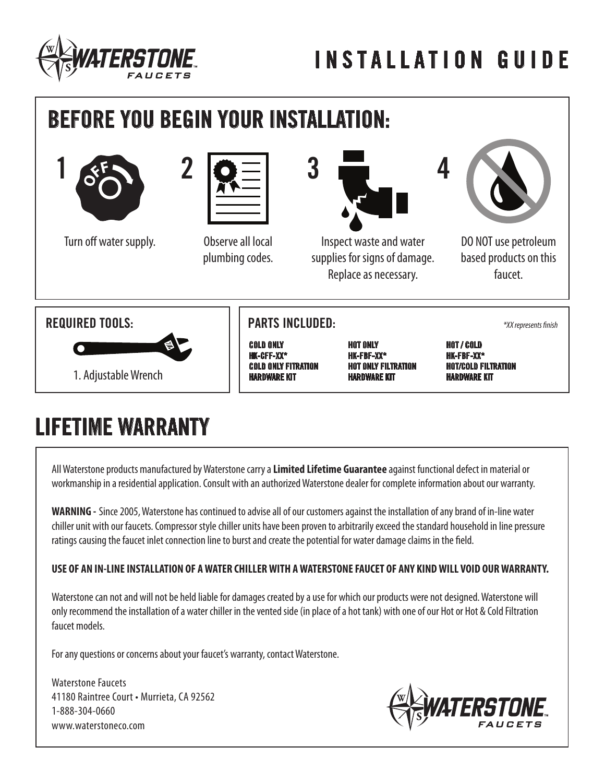



## **LIFETIME WARRANTY**

All Waterstone products manufactured by Waterstone carry a **Limited Lifetime Guarantee** against functional defect in material or workmanship in a residential application. Consult with an authorized Waterstone dealer for complete information about our warranty.

**WARNING -** Since 2005, Waterstone has continued to advise all of our customers against the installation of any brand of in-line water chiller unit with our faucets. Compressor style chiller units have been proven to arbitrarily exceed the standard household in line pressure ratings causing the faucet inlet connection line to burst and create the potential for water damage claims in the field.

#### **USE OF AN IN-LINE INSTALLATION OF A WATER CHILLER WITH A WATERSTONE FAUCET OF ANY KIND WILL VOID OUR WARRANTY.**

Waterstone can not and will not be held liable for damages created by a use for which our products were not designed. Waterstone will only recommend the installation of a water chiller in the vented side (in place of a hot tank) with one of our Hot or Hot & Cold Filtration faucet models.

For any questions or concerns about your faucet's warranty, contact Waterstone.

Waterstone Faucets 41180 Raintree Court • Murrieta, CA 92562 1-888-304-0660 www.waterstoneco.com

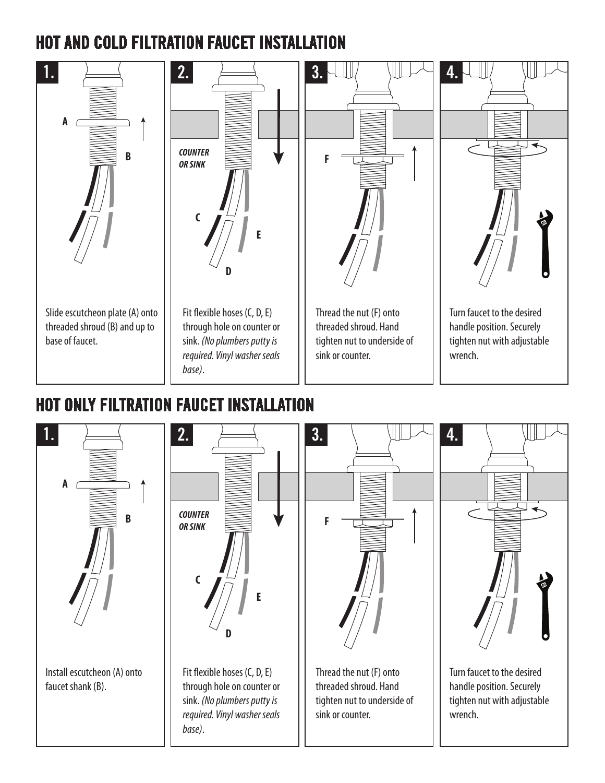### **HOT AND COLD FILTRATION FAUCET INSTALLATION**



#### **HOT ONLY FILTRATION FAUCET INSTALLATION**